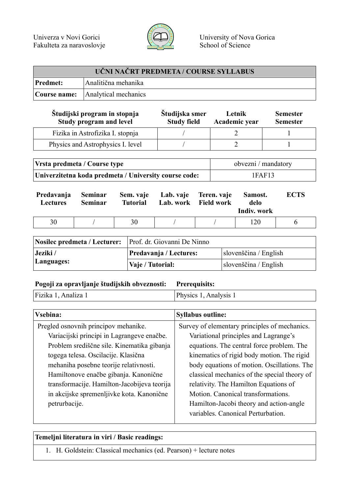

| UČNI NAČRT PREDMETA / COURSE SYLLABUS |                                          |  |
|---------------------------------------|------------------------------------------|--|
| <b>Predmet:</b>                       | Analitična mehanika                      |  |
|                                       | <b>Course name:</b> Analytical mechanics |  |

| Študijski program in stopnja<br>Study program and level | Študijska smer<br><b>Study field</b> | Letnik<br>Academic year | <b>Semester</b><br><b>Semester</b> |
|---------------------------------------------------------|--------------------------------------|-------------------------|------------------------------------|
| Fizika in Astrofizika I. stopnja                        |                                      |                         |                                    |
| Physics and Astrophysics I. level                       |                                      |                         |                                    |

| Vrsta predmeta / Course type                          | obvezni / mandatory |
|-------------------------------------------------------|---------------------|
| Univerzitetna koda predmeta / University course code: | 1FAF13              |

| Predavanja<br><b>Lectures</b> | Seminar<br><b>Seminar</b> | <b>Tutorial</b> | Sem. vaje Lab. vaje Teren. vaje | Lab. work Field work | Samost.<br>delo<br>Indiv. work | <b>ECTS</b> |
|-------------------------------|---------------------------|-----------------|---------------------------------|----------------------|--------------------------------|-------------|
| 30                            |                           | 30              |                                 |                      | 120                            |             |

| Nosilec predmeta / Lecturer: Prof. dr. Giovanni De Ninno |                        |                       |  |
|----------------------------------------------------------|------------------------|-----------------------|--|
| Jeziki /                                                 | Predavanja / Lectures: | slovenščina / English |  |
| Languages:                                               | Vaje / Tutorial:       | slovenščina / English |  |

## **Pogoji za opravljanje študijskih obveznosti: Prerequisits:**

Fizika 1, Analiza 1 Physics 1, Analysis 1

| Vsebina:                                    | <b>Syllabus outline:</b>                      |
|---------------------------------------------|-----------------------------------------------|
| Pregled osnovnih principov mehanike.        | Survey of elementary principles of mechanics. |
| Variacijski principi in Lagrangeve enačbe.  | Variational principles and Lagrange's         |
| Problem središčne sile. Kinematika gibanja  | equations. The central force problem. The     |
| togega telesa. Oscilacije. Klasična         | kinematics of rigid body motion. The rigid    |
| mehaniha posebne teorije relativnosti.      | body equations of motion. Oscillations. The   |
| Hamiltonove enačbe gibanja. Kanonične       | classical mechanics of the special theory of  |
| transformacije. Hamilton-Jacobijeva teorija | relativity. The Hamilton Equations of         |
| in akcijske spremenljivke kota. Kanonične   | Motion. Canonical transformations.            |
| petrurbacije.                               | Hamilton-Jacobi theory and action-angle       |
|                                             | variables. Canonical Perturbation.            |

## **Temeljni literatura in viri / Basic readings:**

1. H. Goldstein: Classical mechanics (ed. Pearson) + lecture notes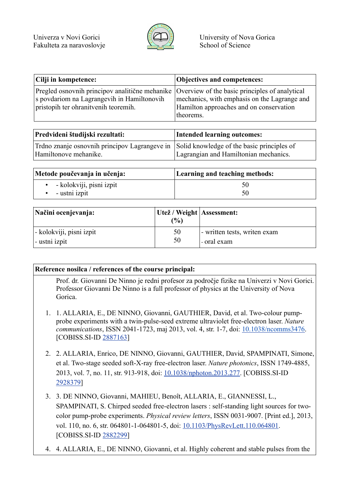

| Cilji in kompetence:                                                                                                                        | Objectives and competences:                          |
|---------------------------------------------------------------------------------------------------------------------------------------------|------------------------------------------------------|
| Pregled osnovnih principov analitične mehanike Overview of the basic principles of analytical<br>s povdariom na Lagrangevih in Hamiltonovih | mechanics, with emphasis on the Lagrange and         |
| pristopih ter ohranitvenih teoremih.                                                                                                        | Hamilton approaches and on conservation<br>theorems. |

| Predvideni študijski rezultati:                                                                                   | Intended learning outcomes:           |
|-------------------------------------------------------------------------------------------------------------------|---------------------------------------|
| Trdno znanje osnovnih principov Lagrangeve in Solid knowledge of the basic principles of<br>Hamiltonove mehanike. | Lagrangian and Hamiltonian mechanics. |

| Metode poučevanja in učenja:       | Learning and teaching methods: |
|------------------------------------|--------------------------------|
| $\bullet$ - kolokviji, pisni izpit |                                |
| - ustni izpit                      |                                |

| Načini ocenjevanja:      | Utež / Weight   Assessment:<br>$\frac{1}{2}$ |                              |
|--------------------------|----------------------------------------------|------------------------------|
| - kolokviji, pisni izpit | 50                                           | - written tests, writen exam |
| - ustni izpit            | 50                                           | - oral exam                  |

## **Reference nosilca / references of the course principal:**

Prof. dr. Giovanni De Ninno je redni profesor za področje fizike na Univerzi v Novi Gorici. Professor Giovanni De Ninno is a full professor of physics at the University of Nova Gorica.

- 1. 1. ALLARIA, E., DE NINNO, Giovanni, GAUTHIER, David, et al. Two-colour pumpprobe experiments with a twin-pulse-seed extreme ultraviolet free-electron laser. *Nature communications*, ISSN 2041-1723, maj 2013, vol. 4, str. 1-7, doi: 10.1038/ncomms3476. [COBISS.SI-ID 2887163]
- 2. 2. ALLARIA, Enrico, DE NINNO, Giovanni, GAUTHIER, David, SPAMPINATI, Simone, et al. Two-stage seeded soft-X-ray free-electron laser. *Nature photonics*, ISSN 1749-4885, 2013, vol. 7, no. 11, str. 913-918, doi: 10.1038/nphoton.2013.277. [COBISS.SI-ID 2928379]
- 3. 3. DE NINNO, Giovanni, MAHIEU, Benoît, ALLARIA, E., GIANNESSI, L., SPAMPINATI, S. Chirped seeded free-electron lasers : self-standing light sources for twocolor pump-probe experiments. *Physical review letters*, ISSN 0031-9007. [Print ed.], 2013, vol. 110, no. 6, str. 064801-1-064801-5, doi: 10.1103/PhysRevLett.110.064801. [COBISS.SI-ID 2882299]
- 4. 4. ALLARIA, E., DE NINNO, Giovanni, et al. Highly coherent and stable pulses from the